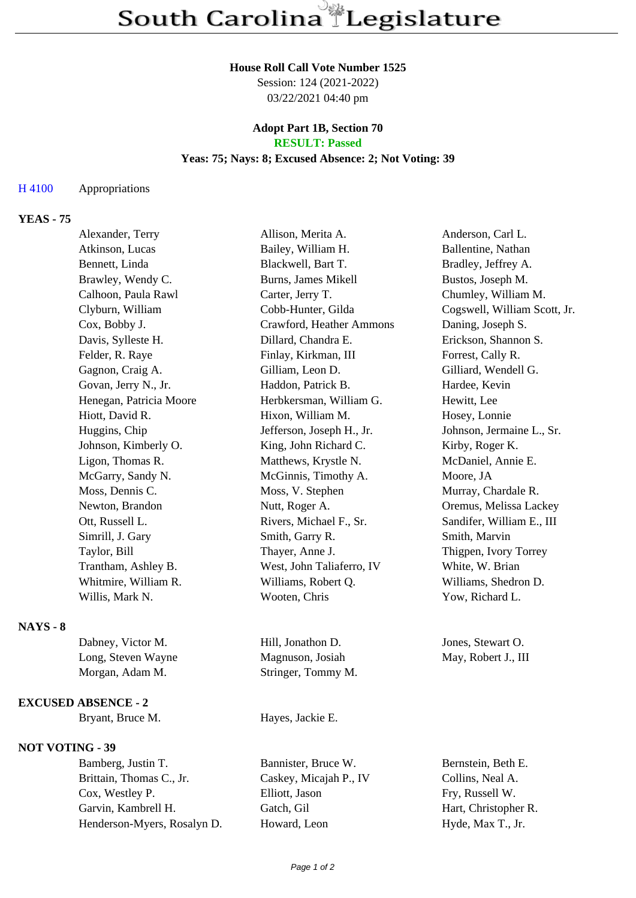### **House Roll Call Vote Number 1525**

Session: 124 (2021-2022) 03/22/2021 04:40 pm

### **Adopt Part 1B, Section 70 RESULT: Passed**

### **Yeas: 75; Nays: 8; Excused Absence: 2; Not Voting: 39**

### H 4100 Appropriations

# **YEAS - 75**

| Alexander, Terry        | Allison, Merita A.        | Anderson, Carl L.            |
|-------------------------|---------------------------|------------------------------|
| Atkinson, Lucas         | Bailey, William H.        | Ballentine, Nathan           |
| Bennett, Linda          | Blackwell, Bart T.        | Bradley, Jeffrey A.          |
| Brawley, Wendy C.       | Burns, James Mikell       | Bustos, Joseph M.            |
| Calhoon, Paula Rawl     | Carter, Jerry T.          | Chumley, William M.          |
| Clyburn, William        | Cobb-Hunter, Gilda        | Cogswell, William Scott, Jr. |
| Cox, Bobby J.           | Crawford, Heather Ammons  | Daning, Joseph S.            |
| Davis, Sylleste H.      | Dillard, Chandra E.       | Erickson, Shannon S.         |
| Felder, R. Raye         | Finlay, Kirkman, III      | Forrest, Cally R.            |
| Gagnon, Craig A.        | Gilliam, Leon D.          | Gilliard, Wendell G.         |
| Govan, Jerry N., Jr.    | Haddon, Patrick B.        | Hardee, Kevin                |
| Henegan, Patricia Moore | Herbkersman, William G.   | Hewitt, Lee                  |
| Hiott, David R.         | Hixon, William M.         | Hosey, Lonnie                |
| Huggins, Chip           | Jefferson, Joseph H., Jr. | Johnson, Jermaine L., Sr.    |
| Johnson, Kimberly O.    | King, John Richard C.     | Kirby, Roger K.              |
| Ligon, Thomas R.        | Matthews, Krystle N.      | McDaniel, Annie E.           |
| McGarry, Sandy N.       | McGinnis, Timothy A.      | Moore, JA                    |
| Moss, Dennis C.         | Moss, V. Stephen          | Murray, Chardale R.          |
| Newton, Brandon         | Nutt, Roger A.            | Oremus, Melissa Lackey       |
| Ott, Russell L.         | Rivers, Michael F., Sr.   | Sandifer, William E., III    |
| Simrill, J. Gary        | Smith, Garry R.           | Smith, Marvin                |
| Taylor, Bill            | Thayer, Anne J.           | Thigpen, Ivory Torrey        |
| Trantham, Ashley B.     | West, John Taliaferro, IV | White, W. Brian              |
| Whitmire, William R.    | Williams, Robert Q.       | Williams, Shedron D.         |
| Willis, Mark N.         | Wooten, Chris             | Yow, Richard L.              |
|                         |                           |                              |

## **NAYS - 8**

| Dabney, Victor M.  | Hill, Jonathon D.  | Jones, Stewart O.   |
|--------------------|--------------------|---------------------|
| Long, Steven Wayne | Magnuson, Josiah   | May, Robert J., III |
| Morgan, Adam M.    | Stringer, Tommy M. |                     |

#### **EXCUSED ABSENCE - 2**

# **NOT VOTING - 39**

Bamberg, Justin T. Bannister, Bruce W. Bernstein, Beth E. Brittain, Thomas C., Jr. Caskey, Micajah P., IV Collins, Neal A. Cox, Westley P. Elliott, Jason Fry, Russell W. Garvin, Kambrell H. Gatch, Gil Hart, Christopher R. Henderson-Myers, Rosalyn D. Howard, Leon Hyde, Max T., Jr.

Bryant, Bruce M. Hayes, Jackie E.